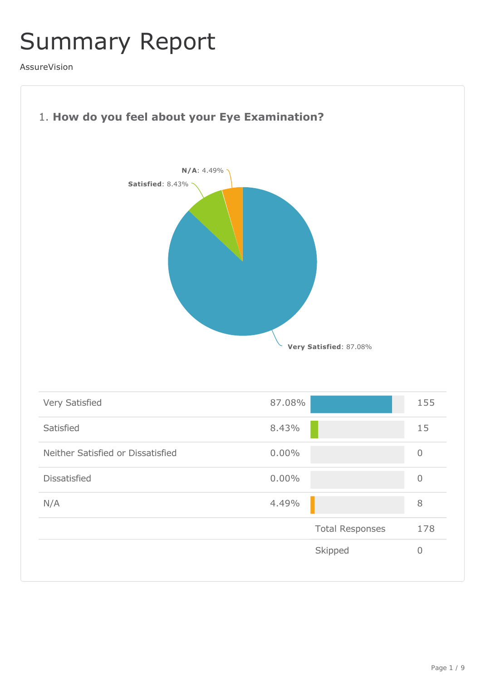## Summary Report

AssureVision

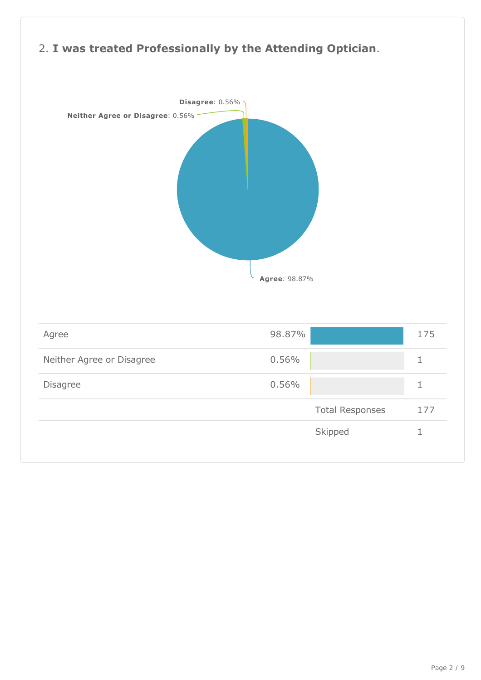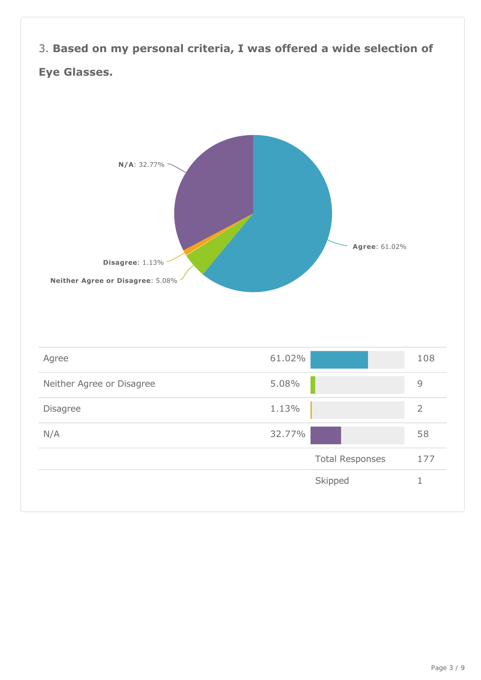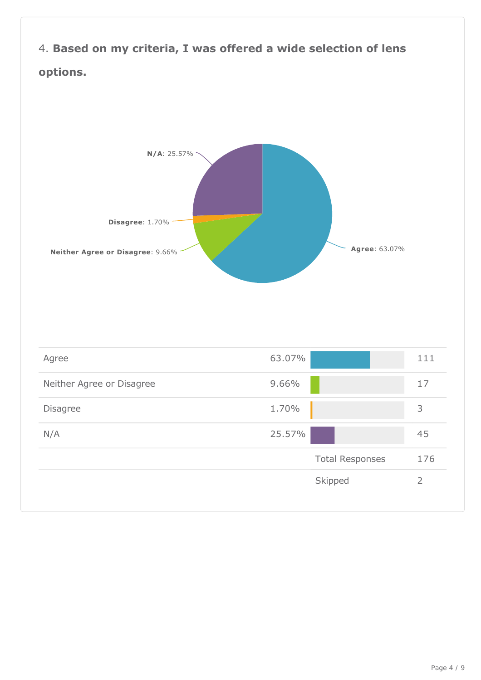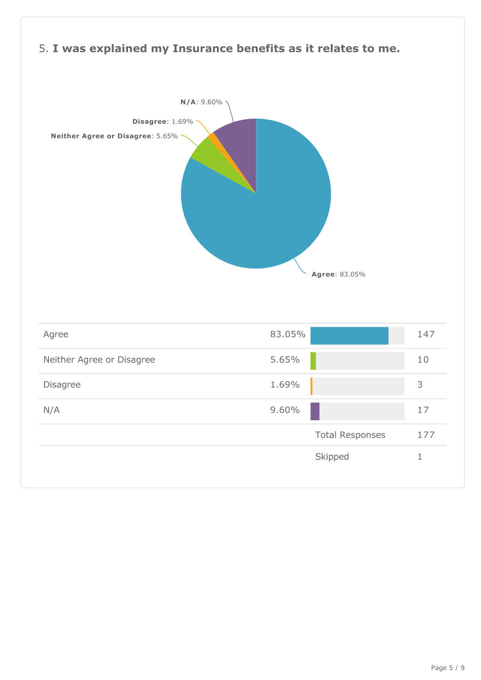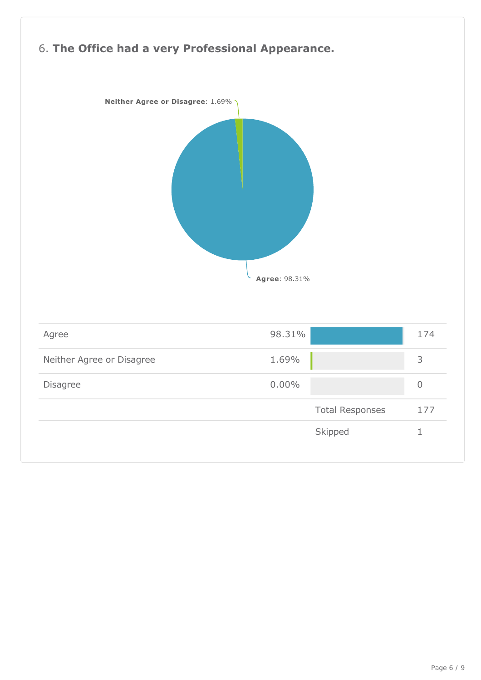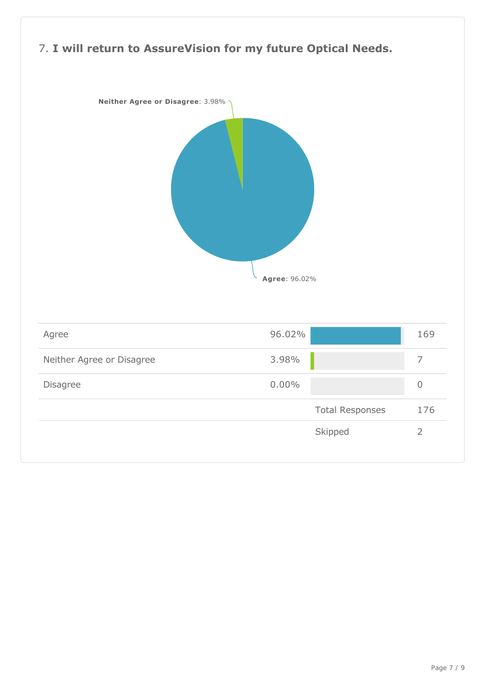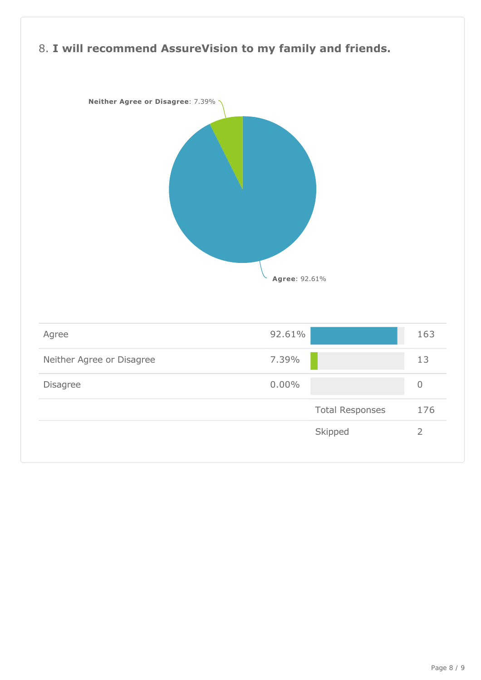